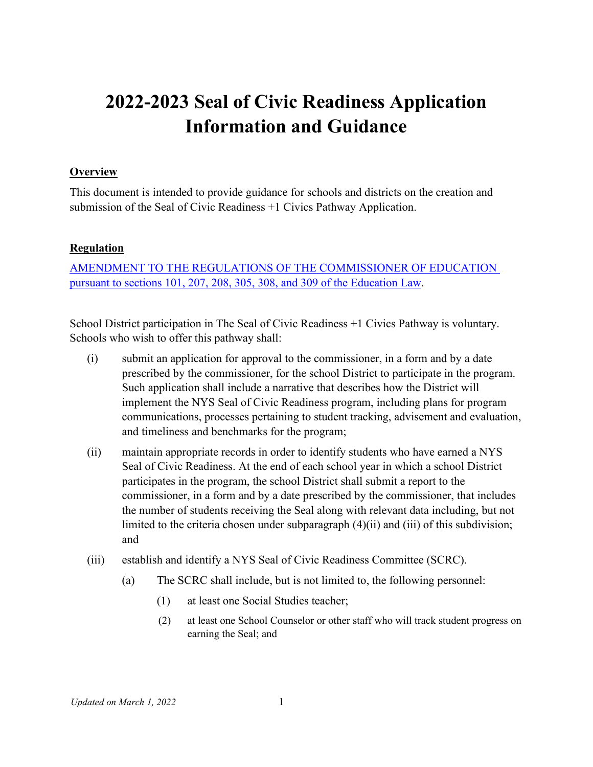# **2022-2023 Seal of Civic Readiness Application Information and Guidance**

#### **Overview**

This document is intended to provide guidance for schools and districts on the creation and submission of the Seal of Civic Readiness +1 Civics Pathway Application.

#### **Regulation**

[AMENDMENT TO THE REGULATIONS OF THE COMMISSIONER OF EDUCATION](https://www.regents.nysed.gov/common/regents/files/921brca10.pdf)  [pursuant to sections 101, 207, 208, 305, 308, and 309 of the Education Law.](https://www.regents.nysed.gov/common/regents/files/921brca10.pdf)

School District participation in The Seal of Civic Readiness +1 Civics Pathway is voluntary. Schools who wish to offer this pathway shall:

- (i) submit an application for approval to the commissioner, in a form and by a date prescribed by the commissioner, for the school District to participate in the program. Such application shall include a narrative that describes how the District will implement the NYS Seal of Civic Readiness program, including plans for program communications, processes pertaining to student tracking, advisement and evaluation, and timeliness and benchmarks for the program;
- (ii) maintain appropriate records in order to identify students who have earned a NYS Seal of Civic Readiness. At the end of each school year in which a school District participates in the program, the school District shall submit a report to the commissioner, in a form and by a date prescribed by the commissioner, that includes the number of students receiving the Seal along with relevant data including, but not limited to the criteria chosen under subparagraph (4)(ii) and (iii) of this subdivision; and
- (iii) establish and identify a NYS Seal of Civic Readiness Committee (SCRC).
	- (a) The SCRC shall include, but is not limited to, the following personnel:
		- (1) at least one Social Studies teacher;
		- (2) at least one School Counselor or other staff who will track student progress on earning the Seal; and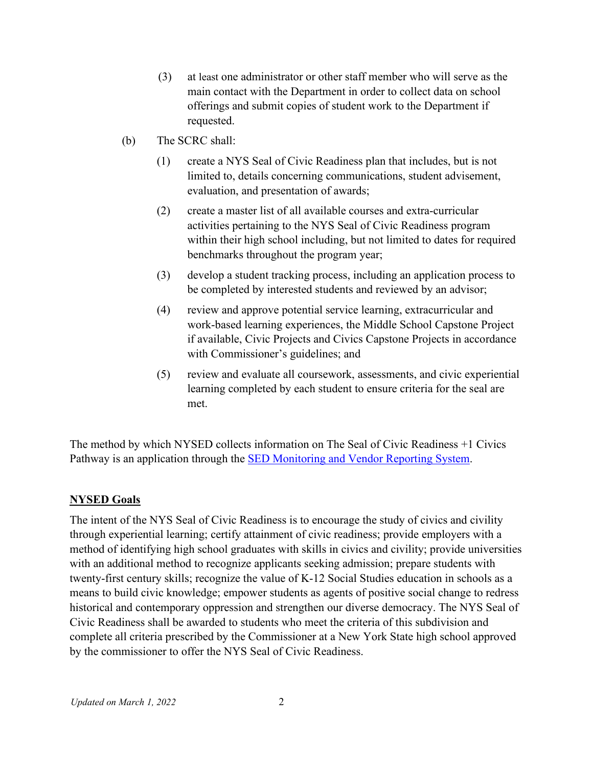- (3) at least one administrator or other staff member who will serve as the main contact with the Department in order to collect data on school offerings and submit copies of student work to the Department if requested.
- (b) The SCRC shall:
	- (1) create a NYS Seal of Civic Readiness plan that includes, but is not limited to, details concerning communications, student advisement, evaluation, and presentation of awards;
	- (2) create a master list of all available courses and extra-curricular activities pertaining to the NYS Seal of Civic Readiness program within their high school including, but not limited to dates for required benchmarks throughout the program year;
	- (3) develop a student tracking process, including an application process to be completed by interested students and reviewed by an advisor;
	- (4) review and approve potential service learning, extracurricular and work-based learning experiences, the Middle School Capstone Project if available, Civic Projects and Civics Capstone Projects in accordance with Commissioner's guidelines; and
	- (5) review and evaluate all coursework, assessments, and civic experiential learning completed by each student to ensure criteria for the seal are met.

The method by which NYSED collects information on The Seal of Civic Readiness +1 Civics Pathway is an application through the [SED Monitoring and Vendor Reporting System.](https://portal.nysed.gov/)

## **NYSED Goals**

The intent of the NYS Seal of Civic Readiness is to encourage the study of civics and civility through experiential learning; certify attainment of civic readiness; provide employers with a method of identifying high school graduates with skills in civics and civility; provide universities with an additional method to recognize applicants seeking admission; prepare students with twenty-first century skills; recognize the value of K-12 Social Studies education in schools as a means to build civic knowledge; empower students as agents of positive social change to redress historical and contemporary oppression and strengthen our diverse democracy. The NYS Seal of Civic Readiness shall be awarded to students who meet the criteria of this subdivision and complete all criteria prescribed by the Commissioner at a New York State high school approved by the commissioner to offer the NYS Seal of Civic Readiness.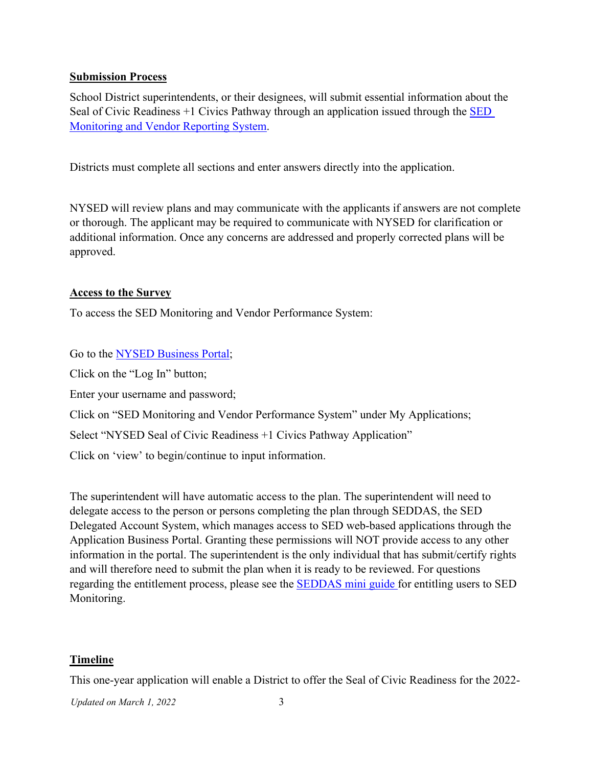#### **Submission Process**

School District superintendents, or their designees, will submit essential information about the Seal of Civic Readiness  $+1$  Civics Pathway through an application issued through the  $\overline{SED}$ [Monitoring and Vendor Reporting System.](https://portal.nysed.gov/abp)

Districts must complete all sections and enter answers directly into the application.

NYSED will review plans and may communicate with the applicants if answers are not complete or thorough. The applicant may be required to communicate with NYSED for clarification or additional information. Once any concerns are addressed and properly corrected plans will be approved.

#### **Access to the Survey**

To access the SED Monitoring and Vendor Performance System:

Go to the [NYSED Business Portal;](https://portal.nysed.gov/abp)

Click on the "Log In" button;

Enter your username and password;

Click on "SED Monitoring and Vendor Performance System" under My Applications;

Select "NYSED Seal of Civic Readiness +1 Civics Pathway Application"

Click on 'view' to begin/continue to input information.

The superintendent will have automatic access to the plan. The superintendent will need to delegate access to the person or persons completing the plan through SEDDAS, the SED Delegated Account System, which manages access to SED web-based applications through the Application Business Portal. Granting these permissions will NOT provide access to any other information in the portal. The superintendent is the only individual that has submit/certify rights and will therefore need to submit the plan when it is ready to be reviewed. For questions regarding the entitlement process, please see the [SEDDAS mini guide f](http://www.nysed.gov/common/nysed/files/programs/edtech/seddas-sedmonitoring-entitlement-mini-guide-ed-tech-survey-2018.pdf)or entitling users to SED Monitoring.

## **Timeline**

This one-year application will enable a District to offer the Seal of Civic Readiness for the 2022-

*Updated on March 1, 2022* 3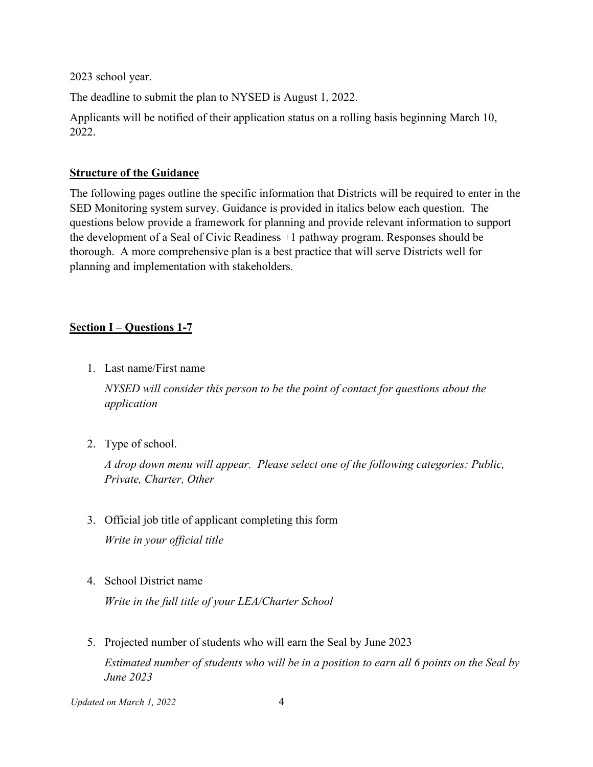2023 school year.

The deadline to submit the plan to NYSED is August 1, 2022.

Applicants will be notified of their application status on a rolling basis beginning March 10, 2022.

#### **Structure of the Guidance**

The following pages outline the specific information that Districts will be required to enter in the SED Monitoring system survey. Guidance is provided in italics below each question. The questions below provide a framework for planning and provide relevant information to support the development of a Seal of Civic Readiness +1 pathway program. Responses should be thorough. A more comprehensive plan is a best practice that will serve Districts well for planning and implementation with stakeholders.

# **Section I – Questions 1-7**

1. Last name/First name

*NYSED will consider this person to be the point of contact for questions about the application*

2. Type of school.

*A drop down menu will appear. Please select one of the following categories: Public, Private, Charter, Other*

- 3. Official job title of applicant completing this form *Write in your official title*
- 4. School District name

*Write in the full title of your LEA/Charter School*

5. Projected number of students who will earn the Seal by June 2023 *Estimated number of students who will be in a position to earn all 6 points on the Seal by June 2023*

*Updated on March 1, 2022* 4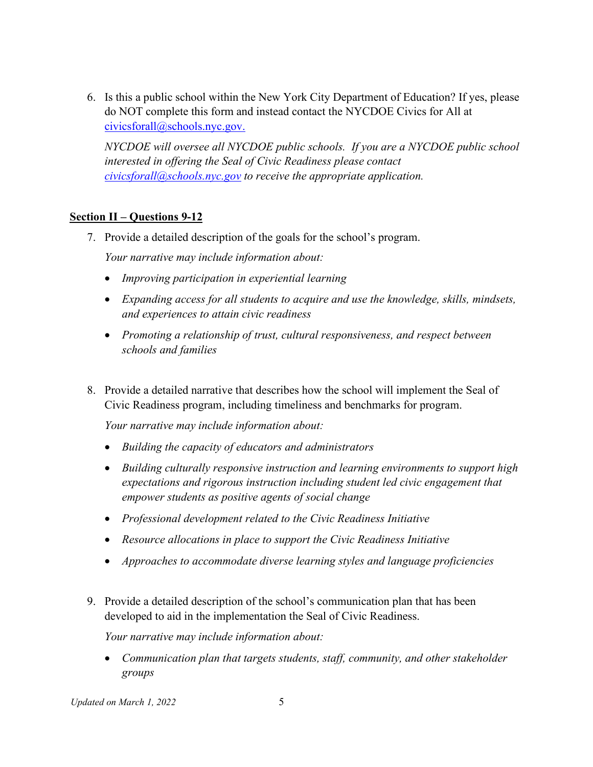6. Is this a public school within the New York City Department of Education? If yes, please do NOT complete this form and instead contact the NYCDOE Civics for All at [civicsforall@schools.nyc.gov.](mailto:civicsforall@schools.nyc.gov)

*NYCDOE will oversee all NYCDOE public schools. If you are a NYCDOE public school interested in offering the Seal of Civic Readiness please contact [civicsforall@schools.nyc.gov](mailto:civicsforall@schools.nyc.gov) to receive the appropriate application.*

# **Section II – Questions 9-12**

7. Provide a detailed description of the goals for the school's program.

*Your narrative may include information about:*

- *Improving participation in experiential learning*
- *Expanding access for all students to acquire and use the knowledge, skills, mindsets, and experiences to attain civic readiness*
- *Promoting a relationship of trust, cultural responsiveness, and respect between schools and families*
- 8. Provide a detailed narrative that describes how the school will implement the Seal of Civic Readiness program, including timeliness and benchmarks for program.

*Your narrative may include information about:*

- *Building the capacity of educators and administrators*
- *Building culturally responsive instruction and learning environments to support high expectations and rigorous instruction including student led civic engagement that empower students as positive agents of social change*
- *Professional development related to the Civic Readiness Initiative*
- *Resource allocations in place to support the Civic Readiness Initiative*
- *Approaches to accommodate diverse learning styles and language proficiencies*
- 9. Provide a detailed description of the school's communication plan that has been developed to aid in the implementation the Seal of Civic Readiness.

*Your narrative may include information about:*

• *Communication plan that targets students, staff, community, and other stakeholder groups*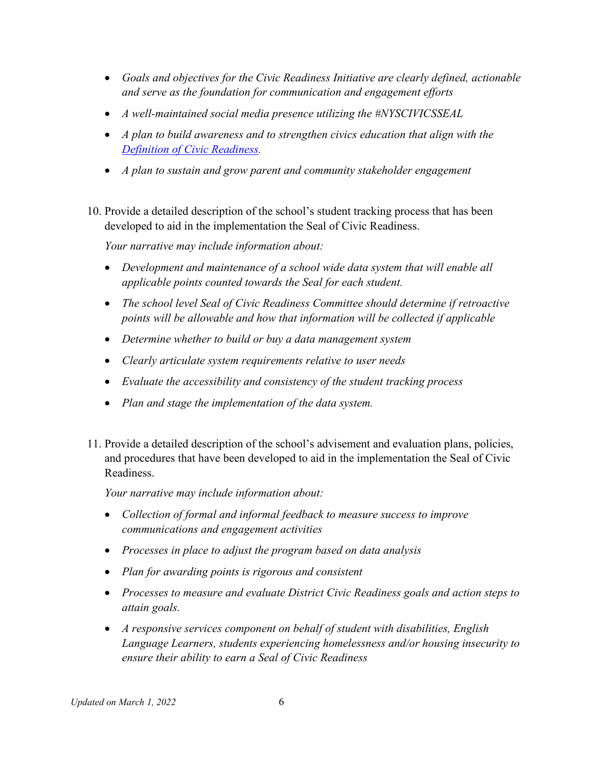- *Goals and objectives for the Civic Readiness Initiative are clearly defined, actionable and serve as the foundation for communication and engagement efforts*
- *A well-maintained social media presence utilizing the #NYSCIVICSSEAL*
- *A plan to build awareness and to strengthen civics education that align with the [Definition of Civic Readiness.](http://www.nysed.gov/curriculum-instruction/civic-readiness-initiative)*
- *A plan to sustain and grow parent and community stakeholder engagement*
- 10. Provide a detailed description of the school's student tracking process that has been developed to aid in the implementation the Seal of Civic Readiness.

*Your narrative may include information about:*

- *Development and maintenance of a school wide data system that will enable all applicable points counted towards the Seal for each student.*
- *The school level Seal of Civic Readiness Committee should determine if retroactive points will be allowable and how that information will be collected if applicable*
- *Determine whether to build or buy a data management system*
- *Clearly articulate system requirements relative to user needs*
- *Evaluate the accessibility and consistency of the student tracking process*
- *Plan and stage the implementation of the data system.*
- 11. Provide a detailed description of the school's advisement and evaluation plans, policies, and procedures that have been developed to aid in the implementation the Seal of Civic Readiness.

*Your narrative may include information about:*

- *Collection of formal and informal feedback to measure success to improve communications and engagement activities*
- *Processes in place to adjust the program based on data analysis*
- *Plan for awarding points is rigorous and consistent*
- *Processes to measure and evaluate District Civic Readiness goals and action steps to attain goals.*
- *A responsive services component on behalf of student with disabilities, English Language Learners, students experiencing homelessness and/or housing insecurity to ensure their ability to earn a Seal of Civic Readiness*